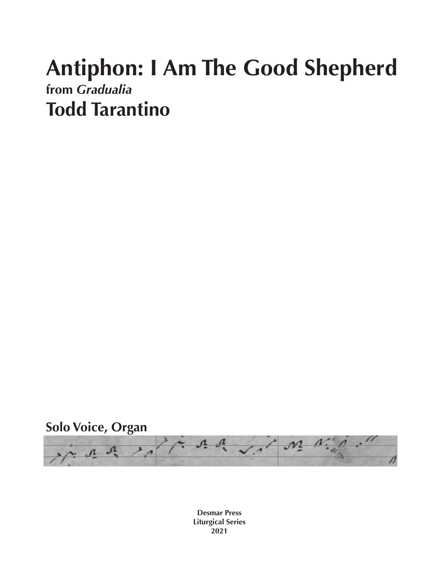## **Antiphon: I Am The Good Shepherd from** *Gradualia* **Todd Tarantino**





**Desmar Press Liturgical Series 2021**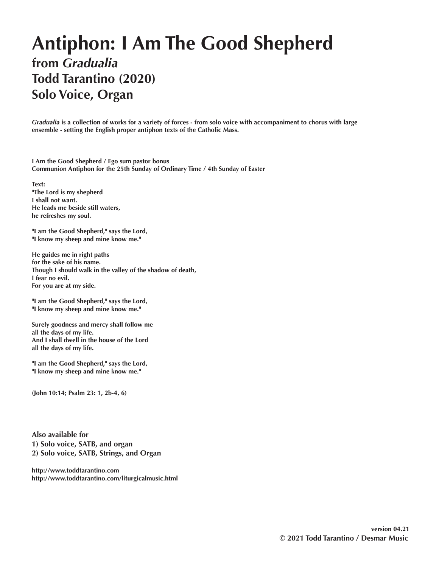## **Antiphon: I Am The Good Shepherd from** *Gradualia* **Todd Tarantino (2020) Solo Voice, Organ**

*Gradualia* **is a collection of works for a variety of forces - from solo voice with accompaniment to chorus with large ensemble - setting the English proper antiphon texts of the Catholic Mass.** 

**I Am the Good Shepherd / Ego sum pastor bonus Communion Antiphon for the 25th Sunday of Ordinary Time / 4th Sunday of Easter**

**Text: "The Lord is my shepherd I shall not want. He leads me beside still waters, he refreshes my soul.**

**"I am the Good Shepherd," says the Lord, "I know my sheep and mine know me."**

**He guides me in right paths for the sake of his name. Though I should walk in the valley of the shadow of death, I fear no evil. For you are at my side.**

**"I am the Good Shepherd," says the Lord, "I know my sheep and mine know me."**

**Surely goodness and mercy shall follow me all the days of my life. And I shall dwell in the house of the Lord all the days of my life.**

**"I am the Good Shepherd," says the Lord, "I know my sheep and mine know me."**

**(John 10:14; Psalm 23: 1, 2b-4, 6)**

**Also available for 1) Solo voice, SATB, and organ 2) Solo voice, SATB, Strings, and Organ**

**http://www.toddtarantino.com http://www.toddtarantino.com/liturgicalmusic.html**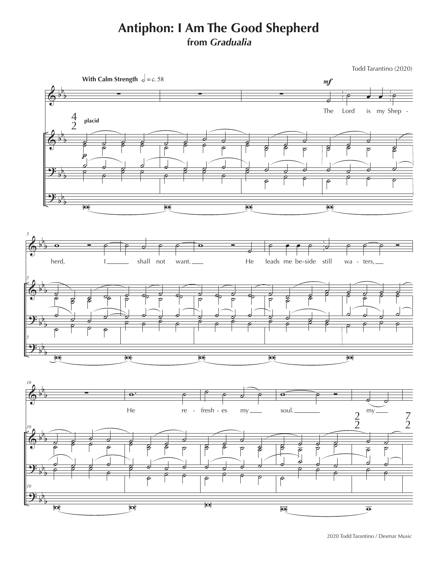## **Antiphon: I Am The Good Shepherd from** *Gradualia*

Todd Tarantino (2020)